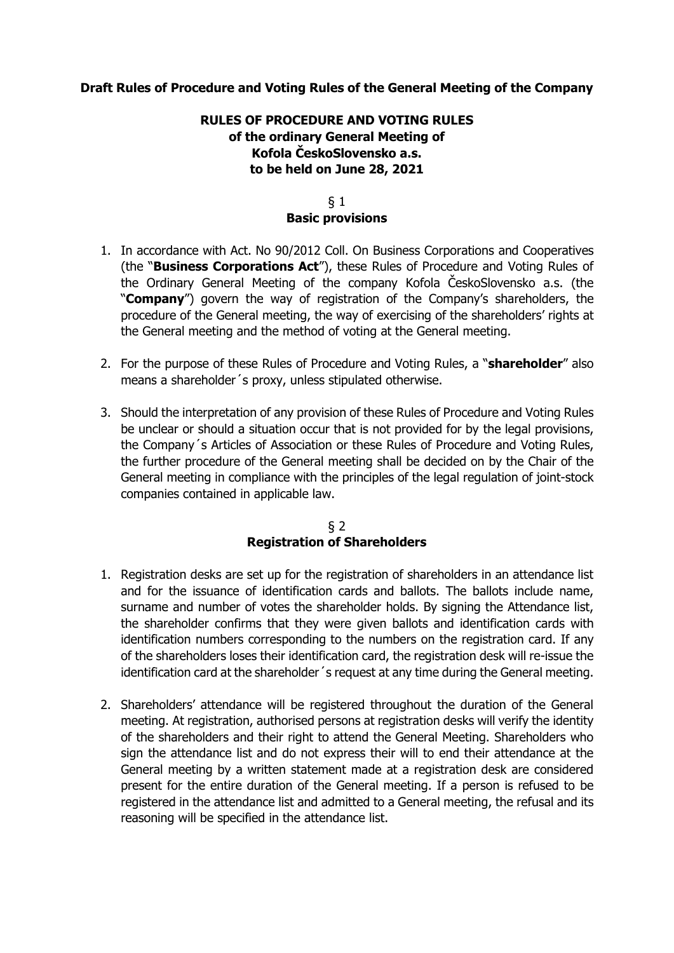# **Draft Rules of Procedure and Voting Rules of the General Meeting of the Company**

# **RULES OF PROCEDURE AND VOTING RULES of the ordinary General Meeting of Kofola ČeskoSlovensko a.s. to be held on June 28, 2021**

### § 1 **Basic provisions**

- 1. In accordance with Act. No 90/2012 Coll. On Business Corporations and Cooperatives (the "**Business Corporations Act**"), these Rules of Procedure and Voting Rules of the Ordinary General Meeting of the company Kofola ČeskoSlovensko a.s. (the "**Company**") govern the way of registration of the Company's shareholders, the procedure of the General meeting, the way of exercising of the shareholders' rights at the General meeting and the method of voting at the General meeting.
- 2. For the purpose of these Rules of Procedure and Voting Rules, a "**shareholder**" also means a shareholder´s proxy, unless stipulated otherwise.
- 3. Should the interpretation of any provision of these Rules of Procedure and Voting Rules be unclear or should a situation occur that is not provided for by the legal provisions, the Company´s Articles of Association or these Rules of Procedure and Voting Rules, the further procedure of the General meeting shall be decided on by the Chair of the General meeting in compliance with the principles of the legal regulation of joint-stock companies contained in applicable law.

## § 2 **Registration of Shareholders**

- 1. Registration desks are set up for the registration of shareholders in an attendance list and for the issuance of identification cards and ballots. The ballots include name, surname and number of votes the shareholder holds. By signing the Attendance list, the shareholder confirms that they were given ballots and identification cards with identification numbers corresponding to the numbers on the registration card. If any of the shareholders loses their identification card, the registration desk will re-issue the identification card at the shareholder´s request at any time during the General meeting.
- 2. Shareholders' attendance will be registered throughout the duration of the General meeting. At registration, authorised persons at registration desks will verify the identity of the shareholders and their right to attend the General Meeting. Shareholders who sign the attendance list and do not express their will to end their attendance at the General meeting by a written statement made at a registration desk are considered present for the entire duration of the General meeting. If a person is refused to be registered in the attendance list and admitted to a General meeting, the refusal and its reasoning will be specified in the attendance list.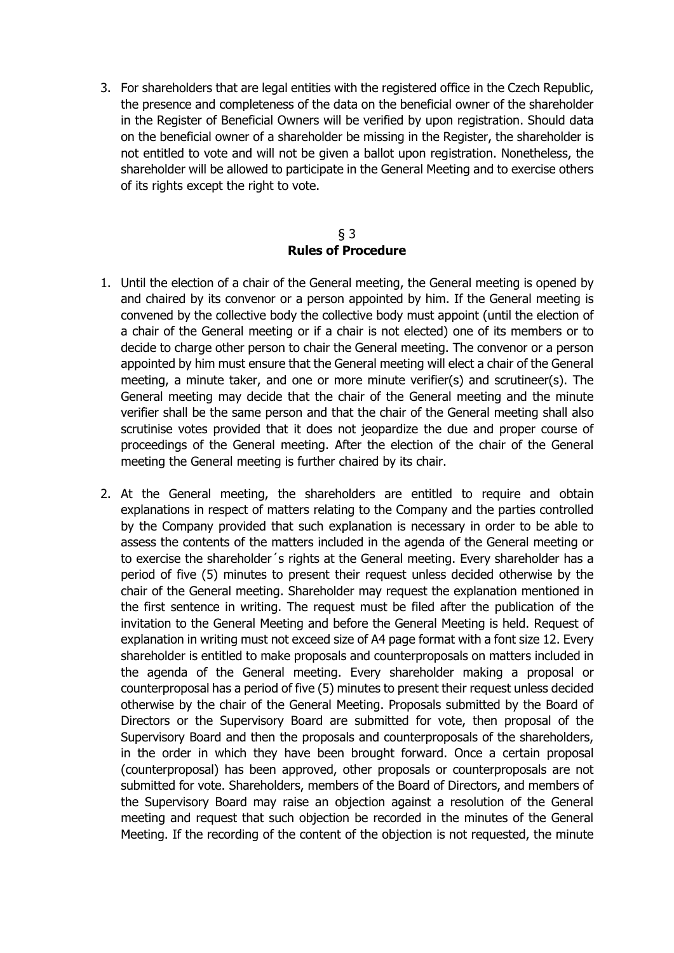3. For shareholders that are legal entities with the registered office in the Czech Republic, the presence and completeness of the data on the beneficial owner of the shareholder in the Register of Beneficial Owners will be verified by upon registration. Should data on the beneficial owner of a shareholder be missing in the Register, the shareholder is not entitled to vote and will not be given a ballot upon registration. Nonetheless, the shareholder will be allowed to participate in the General Meeting and to exercise others of its rights except the right to vote.

## § 3 **Rules of Procedure**

- 1. Until the election of a chair of the General meeting, the General meeting is opened by and chaired by its convenor or a person appointed by him. If the General meeting is convened by the collective body the collective body must appoint (until the election of a chair of the General meeting or if a chair is not elected) one of its members or to decide to charge other person to chair the General meeting. The convenor or a person appointed by him must ensure that the General meeting will elect a chair of the General meeting, a minute taker, and one or more minute verifier(s) and scrutineer(s). The General meeting may decide that the chair of the General meeting and the minute verifier shall be the same person and that the chair of the General meeting shall also scrutinise votes provided that it does not jeopardize the due and proper course of proceedings of the General meeting. After the election of the chair of the General meeting the General meeting is further chaired by its chair.
- 2. At the General meeting, the shareholders are entitled to require and obtain explanations in respect of matters relating to the Company and the parties controlled by the Company provided that such explanation is necessary in order to be able to assess the contents of the matters included in the agenda of the General meeting or to exercise the shareholder´s rights at the General meeting. Every shareholder has a period of five (5) minutes to present their request unless decided otherwise by the chair of the General meeting. Shareholder may request the explanation mentioned in the first sentence in writing. The request must be filed after the publication of the invitation to the General Meeting and before the General Meeting is held. Request of explanation in writing must not exceed size of A4 page format with a font size 12. Every shareholder is entitled to make proposals and counterproposals on matters included in the agenda of the General meeting. Every shareholder making a proposal or counterproposal has a period of five (5) minutes to present their request unless decided otherwise by the chair of the General Meeting. Proposals submitted by the Board of Directors or the Supervisory Board are submitted for vote, then proposal of the Supervisory Board and then the proposals and counterproposals of the shareholders, in the order in which they have been brought forward. Once a certain proposal (counterproposal) has been approved, other proposals or counterproposals are not submitted for vote. Shareholders, members of the Board of Directors, and members of the Supervisory Board may raise an objection against a resolution of the General meeting and request that such objection be recorded in the minutes of the General Meeting. If the recording of the content of the objection is not requested, the minute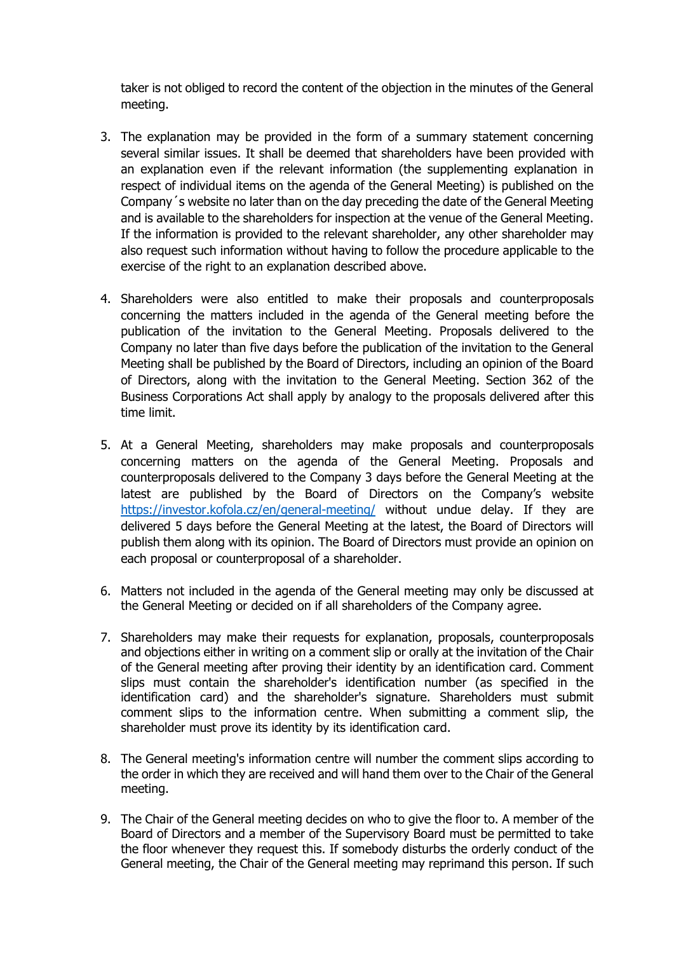taker is not obliged to record the content of the objection in the minutes of the General meeting.

- 3. The explanation may be provided in the form of a summary statement concerning several similar issues. It shall be deemed that shareholders have been provided with an explanation even if the relevant information (the supplementing explanation in respect of individual items on the agenda of the General Meeting) is published on the Company´s website no later than on the day preceding the date of the General Meeting and is available to the shareholders for inspection at the venue of the General Meeting. If the information is provided to the relevant shareholder, any other shareholder may also request such information without having to follow the procedure applicable to the exercise of the right to an explanation described above.
- 4. Shareholders were also entitled to make their proposals and counterproposals concerning the matters included in the agenda of the General meeting before the publication of the invitation to the General Meeting. Proposals delivered to the Company no later than five days before the publication of the invitation to the General Meeting shall be published by the Board of Directors, including an opinion of the Board of Directors, along with the invitation to the General Meeting. Section 362 of the Business Corporations Act shall apply by analogy to the proposals delivered after this time limit.
- 5. At a General Meeting, shareholders may make proposals and counterproposals concerning matters on the agenda of the General Meeting. Proposals and counterproposals delivered to the Company 3 days before the General Meeting at the latest are published by the Board of Directors on the Company's website <https://investor.kofola.cz/en/general-meeting/> without undue delay. If they are delivered 5 days before the General Meeting at the latest, the Board of Directors will publish them along with its opinion. The Board of Directors must provide an opinion on each proposal or counterproposal of a shareholder.
- 6. Matters not included in the agenda of the General meeting may only be discussed at the General Meeting or decided on if all shareholders of the Company agree.
- 7. Shareholders may make their requests for explanation, proposals, counterproposals and objections either in writing on a comment slip or orally at the invitation of the Chair of the General meeting after proving their identity by an identification card. Comment slips must contain the shareholder's identification number (as specified in the identification card) and the shareholder's signature. Shareholders must submit comment slips to the information centre. When submitting a comment slip, the shareholder must prove its identity by its identification card.
- 8. The General meeting's information centre will number the comment slips according to the order in which they are received and will hand them over to the Chair of the General meeting.
- 9. The Chair of the General meeting decides on who to give the floor to. A member of the Board of Directors and a member of the Supervisory Board must be permitted to take the floor whenever they request this. If somebody disturbs the orderly conduct of the General meeting, the Chair of the General meeting may reprimand this person. If such